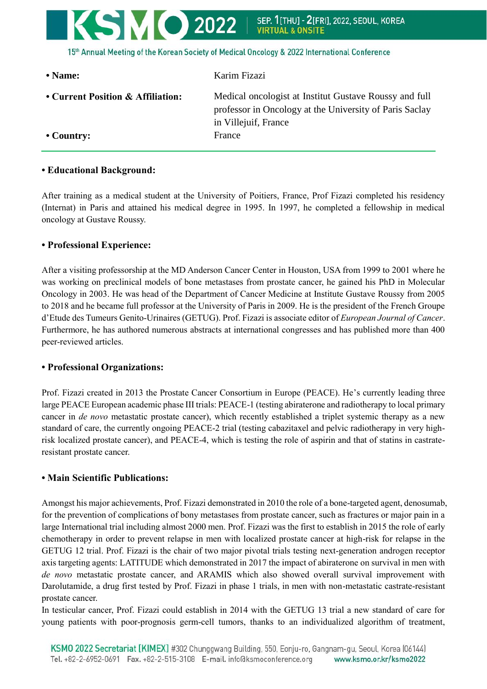

### • Country: France

professor in Oncology at the University of Paris Saclay in Villejuif, France

# **• Educational Background:**

After training as a medical student at the University of Poitiers, France, Prof Fizazi completed his residency (Internat) in Paris and attained his medical degree in 1995. In 1997, he completed a fellowship in medical oncology at Gustave Roussy.

## **• Professional Experience:**

After a visiting professorship at the MD Anderson Cancer Center in Houston, USA from 1999 to 2001 where he was working on preclinical models of bone metastases from prostate cancer, he gained his PhD in Molecular Oncology in 2003. He was head of the Department of Cancer Medicine at Institute Gustave Roussy from 2005 to 2018 and he became full professor at the University of Paris in 2009. He is the president of the French Groupe d'Etude des Tumeurs Genito-Urinaires (GETUG). Prof. Fizazi is associate editor of *European Journal of Cancer*. Furthermore, he has authored numerous abstracts at international congresses and has published more than 400 peer-reviewed articles.

## **• Professional Organizations:**

Prof. Fizazi created in 2013 the Prostate Cancer Consortium in Europe (PEACE). He's currently leading three large PEACE European academic phase III trials: PEACE-1 (testing abiraterone and radiotherapy to local primary cancer in *de novo* metastatic prostate cancer), which recently established a triplet systemic therapy as a new standard of care, the currently ongoing PEACE-2 trial (testing cabazitaxel and pelvic radiotherapy in very highrisk localized prostate cancer), and PEACE-4, which is testing the role of aspirin and that of statins in castrateresistant prostate cancer.

## **• Main Scientific Publications:**

Amongst his major achievements, Prof. Fizazi demonstrated in 2010 the role of a bone-targeted agent, denosumab, for the prevention of complications of bony metastases from prostate cancer, such as fractures or major pain in a large International trial including almost 2000 men. Prof. Fizazi was the first to establish in 2015 the role of early chemotherapy in order to prevent relapse in men with localized prostate cancer at high-risk for relapse in the GETUG 12 trial. Prof. Fizazi is the chair of two major pivotal trials testing next-generation androgen receptor axis targeting agents: LATITUDE which demonstrated in 2017 the impact of abiraterone on survival in men with *de novo* metastatic prostate cancer, and ARAMIS which also showed overall survival improvement with Darolutamide, a drug first tested by Prof. Fizazi in phase 1 trials, in men with non-metastatic castrate-resistant prostate cancer.

In testicular cancer, Prof. Fizazi could establish in 2014 with the GETUG 13 trial a new standard of care for young patients with poor-prognosis germ-cell tumors, thanks to an individualized algorithm of treatment,